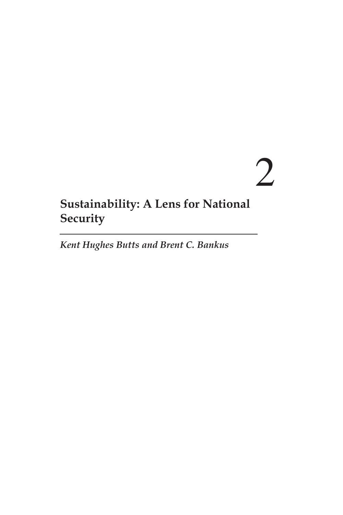# 2

# **Sustainability: A Lens for National Security**

*Kent Hughes Butts and Brent C. Bankus*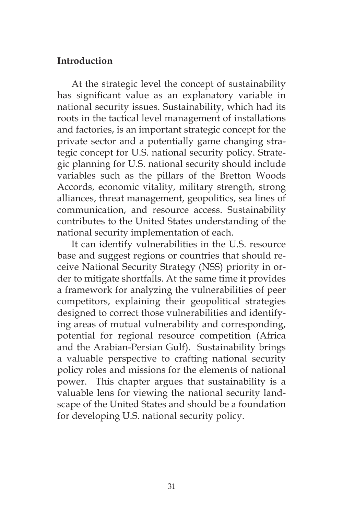### **Introduction**

At the strategic level the concept of sustainability has significant value as an explanatory variable in national security issues. Sustainability, which had its roots in the tactical level management of installations and factories, is an important strategic concept for the private sector and a potentially game changing strategic concept for U.S. national security policy. Strategic planning for U.S. national security should include variables such as the pillars of the Bretton Woods Accords, economic vitality, military strength, strong alliances, threat management, geopolitics, sea lines of communication, and resource access. Sustainability contributes to the United States understanding of the national security implementation of each.

It can identify vulnerabilities in the U.S. resource base and suggest regions or countries that should receive National Security Strategy (NSS) priority in order to mitigate shortfalls. At the same time it provides a framework for analyzing the vulnerabilities of peer competitors, explaining their geopolitical strategies designed to correct those vulnerabilities and identifying areas of mutual vulnerability and corresponding, potential for regional resource competition (Africa and the Arabian-Persian Gulf). Sustainability brings a valuable perspective to crafting national security policy roles and missions for the elements of national power. This chapter argues that sustainability is a valuable lens for viewing the national security landscape of the United States and should be a foundation for developing U.S. national security policy.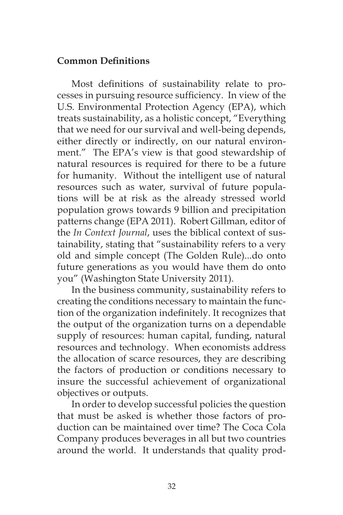# **Common Definitions**

Most definitions of sustainability relate to processes in pursuing resource sufficiency. In view of the U.S. Environmental Protection Agency (EPA), which treats sustainability, as a holistic concept, "Everything that we need for our survival and well-being depends, either directly or indirectly, on our natural environment." The EPA's view is that good stewardship of natural resources is required for there to be a future for humanity. Without the intelligent use of natural resources such as water, survival of future populations will be at risk as the already stressed world population grows towards 9 billion and precipitation patterns change (EPA 2011). Robert Gillman, editor of the *In Context Journal*, uses the biblical context of sustainability, stating that "sustainability refers to a very old and simple concept (The Golden Rule)...do onto future generations as you would have them do onto you" (Washington State University 2011).

In the business community, sustainability refers to creating the conditions necessary to maintain the function of the organization indefinitely. It recognizes that the output of the organization turns on a dependable supply of resources: human capital, funding, natural resources and technology. When economists address the allocation of scarce resources, they are describing the factors of production or conditions necessary to insure the successful achievement of organizational objectives or outputs.

In order to develop successful policies the question that must be asked is whether those factors of production can be maintained over time? The Coca Cola Company produces beverages in all but two countries around the world. It understands that quality prod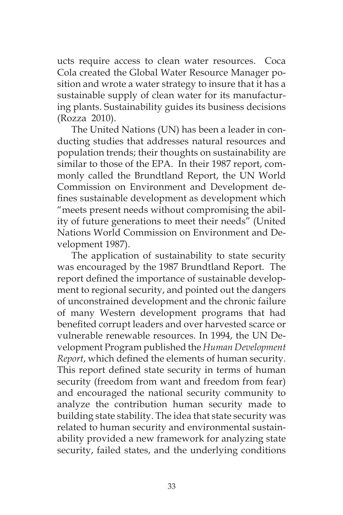ucts require access to clean water resources. Coca Cola created the Global Water Resource Manager position and wrote a water strategy to insure that it has a sustainable supply of clean water for its manufacturing plants. Sustainability guides its business decisions (Rozza 2010).

The United Nations (UN) has been a leader in conducting studies that addresses natural resources and population trends; their thoughts on sustainability are similar to those of the EPA. In their 1987 report, commonly called the Brundtland Report, the UN World Commission on Environment and Development defines sustainable development as development which "meets present needs without compromising the ability of future generations to meet their needs" (United Nations World Commission on Environment and Development 1987).

The application of sustainability to state security was encouraged by the 1987 Brundtland Report. The report defined the importance of sustainable development to regional security, and pointed out the dangers of unconstrained development and the chronic failure of many Western development programs that had benefited corrupt leaders and over harvested scarce or vulnerable renewable resources. In 1994, the UN Development Program published the *Human Development Report*, which defined the elements of human security. This report defined state security in terms of human security (freedom from want and freedom from fear) and encouraged the national security community to analyze the contribution human security made to building state stability. The idea that state security was related to human security and environmental sustainability provided a new framework for analyzing state security, failed states, and the underlying conditions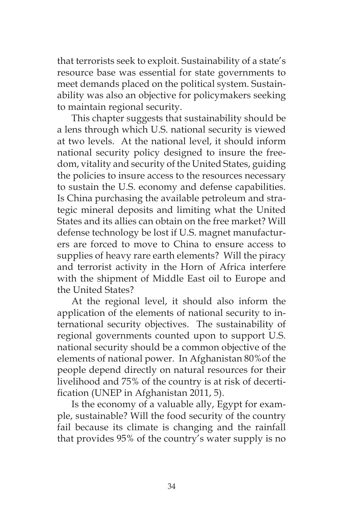that terrorists seek to exploit. Sustainability of a state's resource base was essential for state governments to meet demands placed on the political system. Sustainability was also an objective for policymakers seeking to maintain regional security.

This chapter suggests that sustainability should be a lens through which U.S. national security is viewed at two levels. At the national level, it should inform national security policy designed to insure the freedom, vitality and security of the United States, guiding the policies to insure access to the resources necessary to sustain the U.S. economy and defense capabilities. Is China purchasing the available petroleum and strategic mineral deposits and limiting what the United States and its allies can obtain on the free market? Will defense technology be lost if U.S. magnet manufacturers are forced to move to China to ensure access to supplies of heavy rare earth elements? Will the piracy and terrorist activity in the Horn of Africa interfere with the shipment of Middle East oil to Europe and the United States?

At the regional level, it should also inform the application of the elements of national security to international security objectives. The sustainability of regional governments counted upon to support U.S. national security should be a common objective of the elements of national power. In Afghanistan 80%of the people depend directly on natural resources for their livelihood and 75% of the country is at risk of decertification (UNEP in Afghanistan 2011, 5).

Is the economy of a valuable ally, Egypt for example, sustainable? Will the food security of the country fail because its climate is changing and the rainfall that provides 95% of the country's water supply is no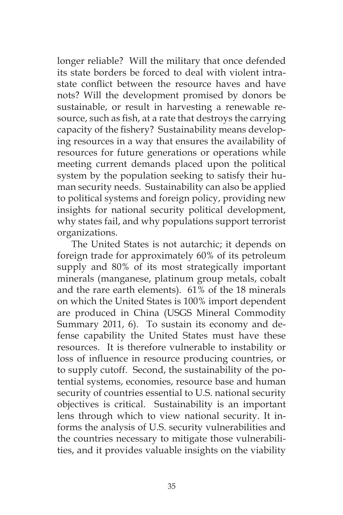longer reliable? Will the military that once defended its state borders be forced to deal with violent intrastate conflict between the resource haves and have nots? Will the development promised by donors be sustainable, or result in harvesting a renewable resource, such as fish, at a rate that destroys the carrying capacity of the fishery? Sustainability means developing resources in a way that ensures the availability of resources for future generations or operations while meeting current demands placed upon the political system by the population seeking to satisfy their human security needs. Sustainability can also be applied to political systems and foreign policy, providing new insights for national security political development, why states fail, and why populations support terrorist organizations.

The United States is not autarchic; it depends on foreign trade for approximately 60% of its petroleum supply and 80% of its most strategically important minerals (manganese, platinum group metals, cobalt and the rare earth elements). 61% of the 18 minerals on which the United States is 100% import dependent are produced in China (USGS Mineral Commodity Summary 2011, 6). To sustain its economy and defense capability the United States must have these resources. It is therefore vulnerable to instability or loss of influence in resource producing countries, or to supply cutoff. Second, the sustainability of the potential systems, economies, resource base and human security of countries essential to U.S. national security objectives is critical. Sustainability is an important lens through which to view national security. It informs the analysis of U.S. security vulnerabilities and the countries necessary to mitigate those vulnerabilities, and it provides valuable insights on the viability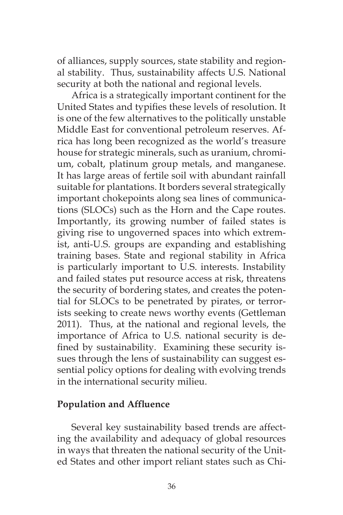of alliances, supply sources, state stability and regional stability. Thus, sustainability affects U.S. National security at both the national and regional levels.

Africa is a strategically important continent for the United States and typifies these levels of resolution. It is one of the few alternatives to the politically unstable Middle East for conventional petroleum reserves. Africa has long been recognized as the world's treasure house for strategic minerals, such as uranium, chromium, cobalt, platinum group metals, and manganese. It has large areas of fertile soil with abundant rainfall suitable for plantations. It borders several strategically important chokepoints along sea lines of communications (SLOCs) such as the Horn and the Cape routes. Importantly, its growing number of failed states is giving rise to ungoverned spaces into which extremist, anti-U.S. groups are expanding and establishing training bases. State and regional stability in Africa is particularly important to U.S. interests. Instability and failed states put resource access at risk, threatens the security of bordering states, and creates the potential for SLOCs to be penetrated by pirates, or terrorists seeking to create news worthy events (Gettleman 2011). Thus, at the national and regional levels, the importance of Africa to U.S. national security is defined by sustainability. Examining these security issues through the lens of sustainability can suggest essential policy options for dealing with evolving trends in the international security milieu.

#### **Population and Affluence**

Several key sustainability based trends are affecting the availability and adequacy of global resources in ways that threaten the national security of the United States and other import reliant states such as Chi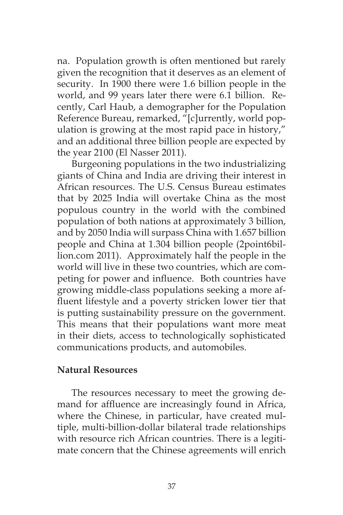na. Population growth is often mentioned but rarely given the recognition that it deserves as an element of security. In 1900 there were 1.6 billion people in the world, and 99 years later there were 6.1 billion. Recently, Carl Haub, a demographer for the Population Reference Bureau, remarked, "[c]urrently, world population is growing at the most rapid pace in history," and an additional three billion people are expected by the year 2100 (El Nasser 2011).

Burgeoning populations in the two industrializing giants of China and India are driving their interest in African resources. The U.S. Census Bureau estimates that by 2025 India will overtake China as the most populous country in the world with the combined population of both nations at approximately 3 billion, and by 2050 India will surpass China with 1.657 billion people and China at 1.304 billion people (2point6billion.com 2011). Approximately half the people in the world will live in these two countries, which are competing for power and influence. Both countries have growing middle-class populations seeking a more affluent lifestyle and a poverty stricken lower tier that is putting sustainability pressure on the government. This means that their populations want more meat in their diets, access to technologically sophisticated communications products, and automobiles.

#### **Natural Resources**

The resources necessary to meet the growing demand for affluence are increasingly found in Africa, where the Chinese, in particular, have created multiple, multi-billion-dollar bilateral trade relationships with resource rich African countries. There is a legitimate concern that the Chinese agreements will enrich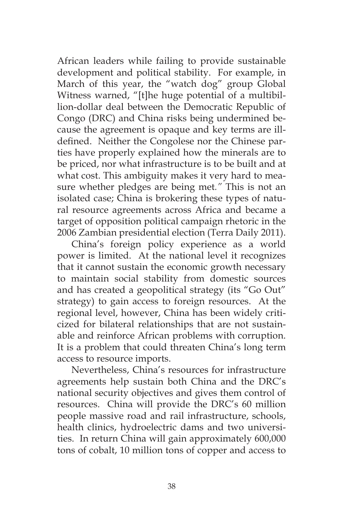African leaders while failing to provide sustainable development and political stability. For example, in March of this year, the "watch dog" group Global Witness warned, "[t]he huge potential of a multibillion-dollar deal between the Democratic Republic of Congo (DRC) and China risks being undermined because the agreement is opaque and key terms are illdefined. Neither the Congolese nor the Chinese parties have properly explained how the minerals are to be priced, nor what infrastructure is to be built and at what cost. This ambiguity makes it very hard to measure whether pledges are being met*."* This is not an isolated case; China is brokering these types of natural resource agreements across Africa and became a target of opposition political campaign rhetoric in the 2006 Zambian presidential election (Terra Daily 2011).

China's foreign policy experience as a world power is limited. At the national level it recognizes that it cannot sustain the economic growth necessary to maintain social stability from domestic sources and has created a geopolitical strategy (its "Go Out" strategy) to gain access to foreign resources. At the regional level, however, China has been widely criticized for bilateral relationships that are not sustainable and reinforce African problems with corruption. It is a problem that could threaten China's long term access to resource imports.

Nevertheless, China's resources for infrastructure agreements help sustain both China and the DRC's national security objectives and gives them control of resources. China will provide the DRC's 60 million people massive road and rail infrastructure, schools, health clinics, hydroelectric dams and two universities. In return China will gain approximately 600,000 tons of cobalt, 10 million tons of copper and access to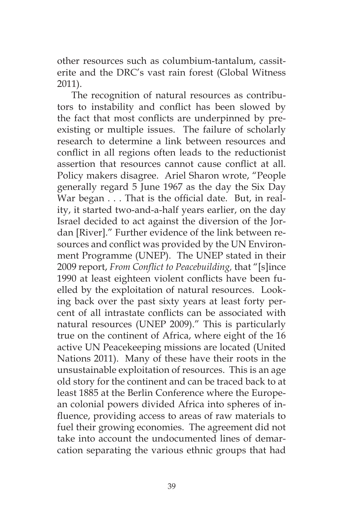other resources such as columbium-tantalum, cassiterite and the DRC's vast rain forest (Global Witness 2011).

The recognition of natural resources as contributors to instability and conflict has been slowed by the fact that most conflicts are underpinned by preexisting or multiple issues. The failure of scholarly research to determine a link between resources and conflict in all regions often leads to the reductionist assertion that resources cannot cause conflict at all. Policy makers disagree. Ariel Sharon wrote, "People generally regard 5 June 1967 as the day the Six Day War began . . . That is the official date. But, in reality, it started two-and-a-half years earlier, on the day Israel decided to act against the diversion of the Jordan [River]." Further evidence of the link between resources and conflict was provided by the UN Environment Programme (UNEP). The UNEP stated in their 2009 report, *From Conflict to Peacebuilding,* that "[s]ince 1990 at least eighteen violent conflicts have been fuelled by the exploitation of natural resources. Looking back over the past sixty years at least forty percent of all intrastate conflicts can be associated with natural resources (UNEP 2009)." This is particularly true on the continent of Africa, where eight of the 16 active UN Peacekeeping missions are located (United Nations 2011). Many of these have their roots in the unsustainable exploitation of resources. This is an age old story for the continent and can be traced back to at least 1885 at the Berlin Conference where the European colonial powers divided Africa into spheres of influence, providing access to areas of raw materials to fuel their growing economies. The agreement did not take into account the undocumented lines of demarcation separating the various ethnic groups that had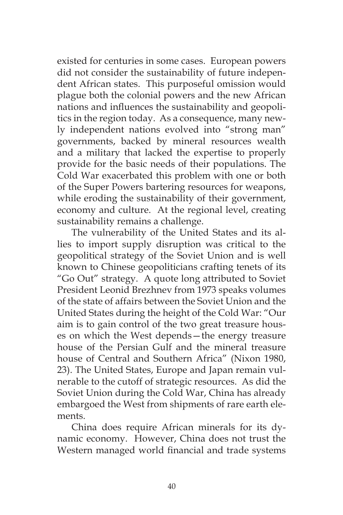existed for centuries in some cases. European powers did not consider the sustainability of future independent African states. This purposeful omission would plague both the colonial powers and the new African nations and influences the sustainability and geopolitics in the region today. As a consequence, many newly independent nations evolved into "strong man" governments, backed by mineral resources wealth and a military that lacked the expertise to properly provide for the basic needs of their populations. The Cold War exacerbated this problem with one or both of the Super Powers bartering resources for weapons, while eroding the sustainability of their government, economy and culture. At the regional level, creating sustainability remains a challenge.

The vulnerability of the United States and its allies to import supply disruption was critical to the geopolitical strategy of the Soviet Union and is well known to Chinese geopoliticians crafting tenets of its "Go Out" strategy. A quote long attributed to Soviet President Leonid Brezhnev from 1973 speaks volumes of the state of affairs between the Soviet Union and the United States during the height of the Cold War: "Our aim is to gain control of the two great treasure houses on which the West depends—the energy treasure house of the Persian Gulf and the mineral treasure house of Central and Southern Africa" (Nixon 1980, 23). The United States, Europe and Japan remain vulnerable to the cutoff of strategic resources. As did the Soviet Union during the Cold War, China has already embargoed the West from shipments of rare earth elements.

China does require African minerals for its dynamic economy. However, China does not trust the Western managed world financial and trade systems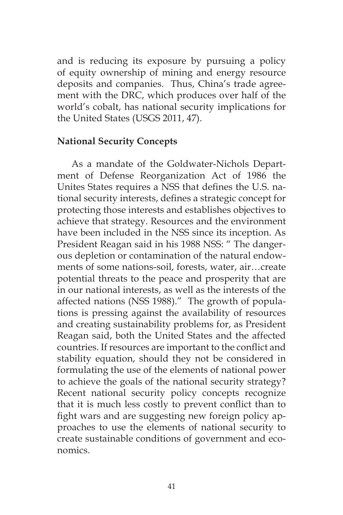and is reducing its exposure by pursuing a policy of equity ownership of mining and energy resource deposits and companies. Thus, China's trade agreement with the DRC, which produces over half of the world's cobalt, has national security implications for the United States (USGS 2011, 47).

# **National Security Concepts**

As a mandate of the Goldwater-Nichols Department of Defense Reorganization Act of 1986 the Unites States requires a NSS that defines the U.S. national security interests, defines a strategic concept for protecting those interests and establishes objectives to achieve that strategy. Resources and the environment have been included in the NSS since its inception. As President Reagan said in his 1988 NSS: " The dangerous depletion or contamination of the natural endowments of some nations-soil, forests, water, air…create potential threats to the peace and prosperity that are in our national interests, as well as the interests of the affected nations (NSS 1988)." The growth of populations is pressing against the availability of resources and creating sustainability problems for, as President Reagan said, both the United States and the affected countries. If resources are important to the conflict and stability equation, should they not be considered in formulating the use of the elements of national power to achieve the goals of the national security strategy? Recent national security policy concepts recognize that it is much less costly to prevent conflict than to fight wars and are suggesting new foreign policy approaches to use the elements of national security to create sustainable conditions of government and economics.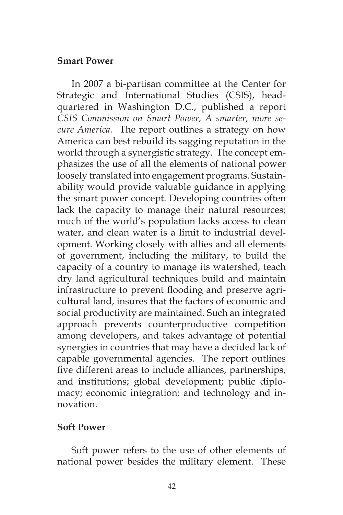#### **Smart Power**

In 2007 a bi-partisan committee at the Center for Strategic and International Studies (CSIS), headquartered in Washington D.C., published a report *CSIS Commission on Smart Power, A smarter, more secure America.* The report outlines a strategy on how America can best rebuild its sagging reputation in the world through a synergistic strategy. The concept emphasizes the use of all the elements of national power loosely translated into engagement programs. Sustainability would provide valuable guidance in applying the smart power concept. Developing countries often lack the capacity to manage their natural resources; much of the world's population lacks access to clean water, and clean water is a limit to industrial development. Working closely with allies and all elements of government, including the military, to build the capacity of a country to manage its watershed, teach dry land agricultural techniques build and maintain infrastructure to prevent flooding and preserve agricultural land, insures that the factors of economic and social productivity are maintained. Such an integrated approach prevents counterproductive competition among developers, and takes advantage of potential synergies in countries that may have a decided lack of capable governmental agencies. The report outlines five different areas to include alliances, partnerships, and institutions; global development; public diplomacy; economic integration; and technology and innovation.

## **Soft Power**

Soft power refers to the use of other elements of national power besides the military element. These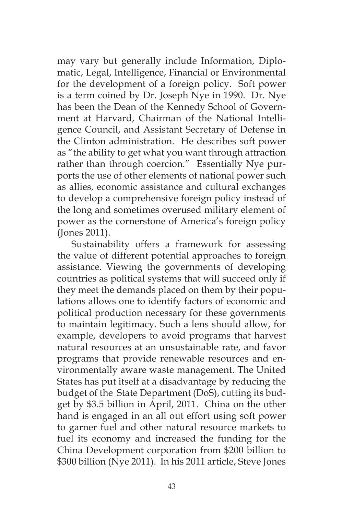may vary but generally include Information, Diplomatic, Legal, Intelligence, Financial or Environmental for the development of a foreign policy. Soft power is a term coined by Dr. Joseph Nye in 1990. Dr. Nye has been the Dean of the Kennedy School of Government at Harvard, Chairman of the National Intelligence Council, and Assistant Secretary of Defense in the Clinton administration. He describes soft power as "the ability to get what you want through attraction rather than through coercion." Essentially Nye purports the use of other elements of national power such as allies, economic assistance and cultural exchanges to develop a comprehensive foreign policy instead of the long and sometimes overused military element of power as the cornerstone of America's foreign policy (Jones 2011).

Sustainability offers a framework for assessing the value of different potential approaches to foreign assistance. Viewing the governments of developing countries as political systems that will succeed only if they meet the demands placed on them by their populations allows one to identify factors of economic and political production necessary for these governments to maintain legitimacy. Such a lens should allow, for example, developers to avoid programs that harvest natural resources at an unsustainable rate, and favor programs that provide renewable resources and environmentally aware waste management. The United States has put itself at a disadvantage by reducing the budget of the State Department (DoS), cutting its budget by \$3.5 billion in April, 2011. China on the other hand is engaged in an all out effort using soft power to garner fuel and other natural resource markets to fuel its economy and increased the funding for the China Development corporation from \$200 billion to \$300 billion (Nye 2011). In his 2011 article, Steve Jones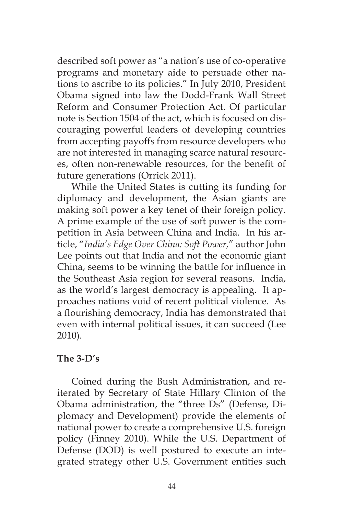described soft power as "a nation's use of co-operative programs and monetary aide to persuade other nations to ascribe to its policies." In July 2010, President Obama signed into law the Dodd-Frank Wall Street Reform and Consumer Protection Act. Of particular note is Section 1504 of the act, which is focused on discouraging powerful leaders of developing countries from accepting payoffs from resource developers who are not interested in managing scarce natural resources, often non-renewable resources, for the benefit of future generations (Orrick 2011).

While the United States is cutting its funding for diplomacy and development, the Asian giants are making soft power a key tenet of their foreign policy. A prime example of the use of soft power is the competition in Asia between China and India. In his article, "*India's Edge Over China: Soft Power,*" author John Lee points out that India and not the economic giant China, seems to be winning the battle for influence in the Southeast Asia region for several reasons. India, as the world's largest democracy is appealing. It approaches nations void of recent political violence. As a flourishing democracy, India has demonstrated that even with internal political issues, it can succeed (Lee 2010).

# **The 3-D's**

Coined during the Bush Administration, and reiterated by Secretary of State Hillary Clinton of the Obama administration, the "three Ds" (Defense, Diplomacy and Development) provide the elements of national power to create a comprehensive U.S. foreign policy (Finney 2010). While the U.S. Department of Defense (DOD) is well postured to execute an integrated strategy other U.S. Government entities such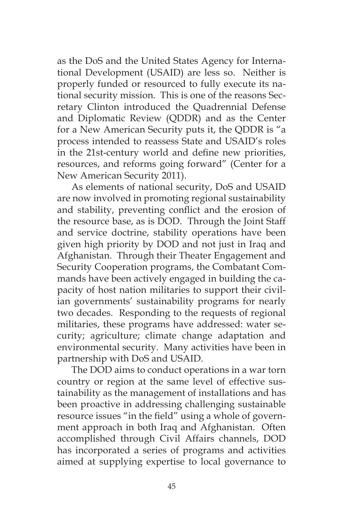as the DoS and the United States Agency for International Development (USAID) are less so. Neither is properly funded or resourced to fully execute its national security mission. This is one of the reasons Secretary Clinton introduced the Quadrennial Defense and Diplomatic Review (QDDR) and as the Center for a New American Security puts it, the QDDR is "a process intended to reassess State and USAID's roles in the 21st-century world and define new priorities, resources, and reforms going forward" (Center for a New American Security 2011).

As elements of national security, DoS and USAID are now involved in promoting regional sustainability and stability, preventing conflict and the erosion of the resource base, as is DOD. Through the Joint Staff and service doctrine, stability operations have been given high priority by DOD and not just in Iraq and Afghanistan. Through their Theater Engagement and Security Cooperation programs, the Combatant Commands have been actively engaged in building the capacity of host nation militaries to support their civilian governments' sustainability programs for nearly two decades. Responding to the requests of regional militaries, these programs have addressed: water security; agriculture; climate change adaptation and environmental security. Many activities have been in partnership with DoS and USAID.

The DOD aims to conduct operations in a war torn country or region at the same level of effective sustainability as the management of installations and has been proactive in addressing challenging sustainable resource issues "in the field" using a whole of government approach in both Iraq and Afghanistan. Often accomplished through Civil Affairs channels, DOD has incorporated a series of programs and activities aimed at supplying expertise to local governance to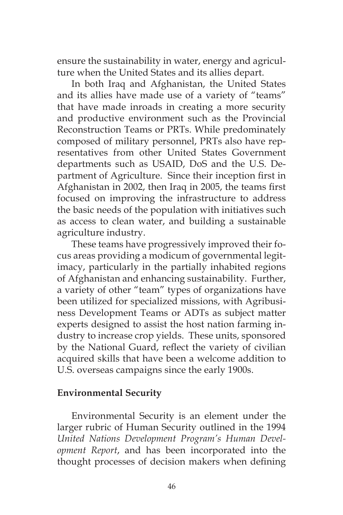ensure the sustainability in water, energy and agriculture when the United States and its allies depart.

In both Iraq and Afghanistan, the United States and its allies have made use of a variety of "teams" that have made inroads in creating a more security and productive environment such as the Provincial Reconstruction Teams or PRTs. While predominately composed of military personnel, PRTs also have representatives from other United States Government departments such as USAID, DoS and the U.S. Department of Agriculture. Since their inception first in Afghanistan in 2002, then Iraq in 2005, the teams first focused on improving the infrastructure to address the basic needs of the population with initiatives such as access to clean water, and building a sustainable agriculture industry.

These teams have progressively improved their focus areas providing a modicum of governmental legitimacy, particularly in the partially inhabited regions of Afghanistan and enhancing sustainability. Further, a variety of other "team" types of organizations have been utilized for specialized missions, with Agribusiness Development Teams or ADTs as subject matter experts designed to assist the host nation farming industry to increase crop yields. These units, sponsored by the National Guard, reflect the variety of civilian acquired skills that have been a welcome addition to U.S. overseas campaigns since the early 1900s.

## **Environmental Security**

Environmental Security is an element under the larger rubric of Human Security outlined in the 1994 *United Nations Development Program's Human Development Report*, and has been incorporated into the thought processes of decision makers when defining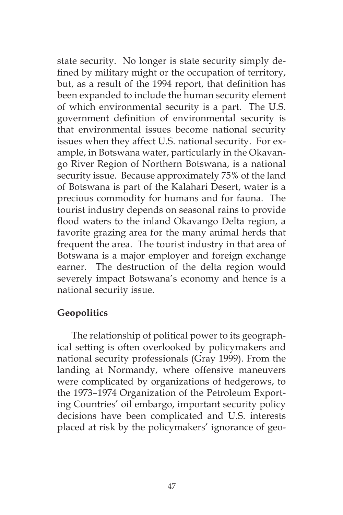state security. No longer is state security simply defined by military might or the occupation of territory, but, as a result of the 1994 report, that definition has been expanded to include the human security element of which environmental security is a part. The U.S. government definition of environmental security is that environmental issues become national security issues when they affect U.S. national security. For example, in Botswana water, particularly in the Okavango River Region of Northern Botswana, is a national security issue. Because approximately 75% of the land of Botswana is part of the Kalahari Desert, water is a precious commodity for humans and for fauna. The tourist industry depends on seasonal rains to provide flood waters to the inland Okavango Delta region, a favorite grazing area for the many animal herds that frequent the area. The tourist industry in that area of Botswana is a major employer and foreign exchange earner. The destruction of the delta region would severely impact Botswana's economy and hence is a national security issue.

# **Geopolitics**

The relationship of political power to its geographical setting is often overlooked by policymakers and national security professionals (Gray 1999). From the landing at Normandy, where offensive maneuvers were complicated by organizations of hedgerows, to the 1973–1974 Organization of the Petroleum Exporting Countries' oil embargo, important security policy decisions have been complicated and U.S. interests placed at risk by the policymakers' ignorance of geo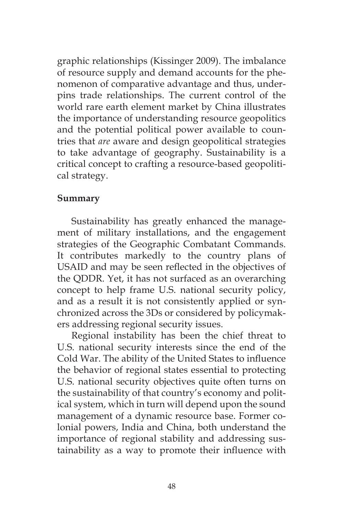graphic relationships (Kissinger 2009). The imbalance of resource supply and demand accounts for the phenomenon of comparative advantage and thus, underpins trade relationships. The current control of the world rare earth element market by China illustrates the importance of understanding resource geopolitics and the potential political power available to countries that *are* aware and design geopolitical strategies to take advantage of geography. Sustainability is a critical concept to crafting a resource-based geopolitical strategy.

# **Summary**

Sustainability has greatly enhanced the management of military installations, and the engagement strategies of the Geographic Combatant Commands. It contributes markedly to the country plans of USAID and may be seen reflected in the objectives of the QDDR. Yet, it has not surfaced as an overarching concept to help frame U.S. national security policy, and as a result it is not consistently applied or synchronized across the 3Ds or considered by policymakers addressing regional security issues.

Regional instability has been the chief threat to U.S. national security interests since the end of the Cold War. The ability of the United States to influence the behavior of regional states essential to protecting U.S. national security objectives quite often turns on the sustainability of that country's economy and political system, which in turn will depend upon the sound management of a dynamic resource base. Former colonial powers, India and China, both understand the importance of regional stability and addressing sustainability as a way to promote their influence with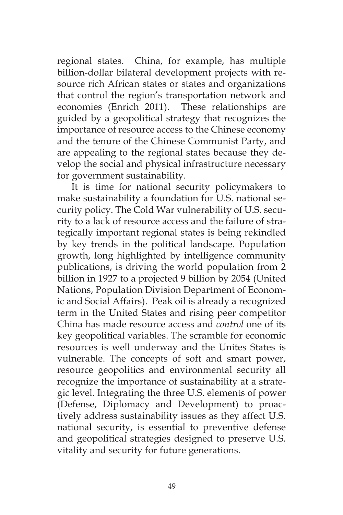regional states. China, for example, has multiple billion-dollar bilateral development projects with resource rich African states or states and organizations that control the region's transportation network and economies (Enrich 2011). These relationships are guided by a geopolitical strategy that recognizes the importance of resource access to the Chinese economy and the tenure of the Chinese Communist Party, and are appealing to the regional states because they develop the social and physical infrastructure necessary for government sustainability.

It is time for national security policymakers to make sustainability a foundation for U.S. national security policy. The Cold War vulnerability of U.S. security to a lack of resource access and the failure of strategically important regional states is being rekindled by key trends in the political landscape. Population growth, long highlighted by intelligence community publications, is driving the world population from 2 billion in 1927 to a projected 9 billion by 2054 (United Nations, Population Division Department of Economic and Social Affairs). Peak oil is already a recognized term in the United States and rising peer competitor China has made resource access and *control* one of its key geopolitical variables. The scramble for economic resources is well underway and the Unites States is vulnerable. The concepts of soft and smart power, resource geopolitics and environmental security all recognize the importance of sustainability at a strategic level. Integrating the three U.S. elements of power (Defense, Diplomacy and Development) to proactively address sustainability issues as they affect U.S. national security, is essential to preventive defense and geopolitical strategies designed to preserve U.S. vitality and security for future generations.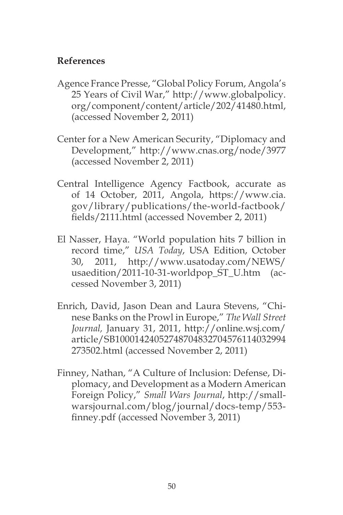# **References**

- Agence France Presse, "Global Policy Forum, Angola's 25 Years of Civil War," http://www.globalpolicy. org/component/content/article/202/41480.html, (accessed November 2, 2011)
- Center for a New American Security, "Diplomacy and Development," http://www.cnas.org/node/3977 (accessed November 2, 2011)
- Central Intelligence Agency Factbook, accurate as of 14 October, 2011, Angola, https://www.cia. gov/library/publications/the-world-factbook/ fields/2111.html (accessed November 2, 2011)
- El Nasser, Haya. "World population hits 7 billion in record time," *USA Today*, USA Edition, October 30, 2011, http://www.usatoday.com/NEWS/ usaedition/2011-10-31-worldpop\_ST\_U.htm (accessed November 3, 2011)
- Enrich, David, Jason Dean and Laura Stevens, "Chinese Banks on the Prowl in Europe," *The Wall Street Journal,* January 31, 2011, http://online.wsj.com/ article/SB10001424052748704832704576114032994 273502.html (accessed November 2, 2011)
- Finney, Nathan, "A Culture of Inclusion: Defense, Diplomacy, and Development as a Modern American Foreign Policy," *Small Wars Journal*, http://smallwarsjournal.com/blog/journal/docs-temp/553 finney.pdf (accessed November 3, 2011)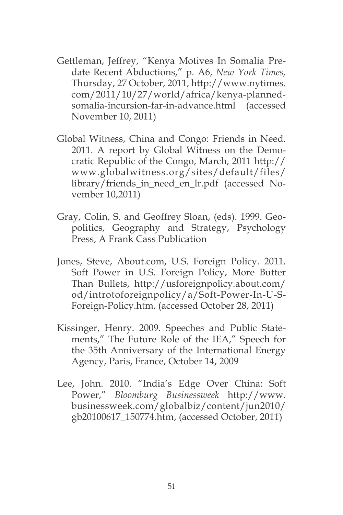- Gettleman, Jeffrey, "Kenya Motives In Somalia Predate Recent Abductions," p. A6, *New York Times,*  Thursday, 27 October, 2011, http://www.nytimes. com/2011/10/27/world/africa/kenya-plannedsomalia-incursion-far-in-advance.html (accessed November 10, 2011)
- Global Witness, China and Congo: Friends in Need. 2011. A report by Global Witness on the Democratic Republic of the Congo, March, 2011 http:// www.globalwitness.org/sites/default/files/ library/friends\_in\_need\_en\_lr.pdf (accessed November 10,2011)
- Gray, Colin, S. and Geoffrey Sloan, (eds). 1999. Geopolitics, Geography and Strategy, Psychology Press, A Frank Cass Publication
- Jones, Steve, About.com, U.S. Foreign Policy. 2011. Soft Power in U.S. Foreign Policy, More Butter Than Bullets, http://usforeignpolicy.about.com/ od/introtoforeignpolicy/a/Soft-Power-In-U-S-Foreign-Policy.htm, (accessed October 28, 2011)
- Kissinger, Henry. 2009. Speeches and Public Statements," The Future Role of the IEA," Speech for the 35th Anniversary of the International Energy Agency, Paris, France, October 14, 2009
- Lee, John. 2010. "India's Edge Over China: Soft Power," *Bloomburg Businessweek* http://www. businessweek.com/globalbiz/content/jun2010/ gb20100617\_150774.htm, (accessed October, 2011)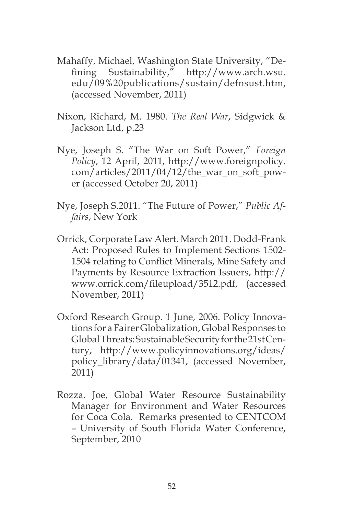- Mahaffy, Michael, Washington State University, "Defining Sustainability," http://www.arch.wsu. edu/09%20publications/sustain/defnsust.htm, (accessed November, 2011)
- Nixon, Richard, M. 1980. *The Real War*, Sidgwick & Jackson Ltd, p.23
- Nye, Joseph S. "The War on Soft Power," *Foreign Policy*, 12 April, 2011, http://www.foreignpolicy.  $com/articles/2011/04/12/the war$  on soft power (accessed October 20, 2011)
- Nye, Joseph S.2011. "The Future of Power," *Public Affairs*, New York
- Orrick, Corporate Law Alert. March 2011. Dodd-Frank Act: Proposed Rules to Implement Sections 1502- 1504 relating to Conflict Minerals, Mine Safety and Payments by Resource Extraction Issuers, http:// www.orrick.com/fileupload/3512.pdf, (accessed November, 2011)
- Oxford Research Group. 1 June, 2006. Policy Innovations for a Fairer Globalization, Global Responses to Global Threats: Sustainable Security for the 21st Century, http://www.policyinnovations.org/ideas/ policy\_library/data/01341, (accessed November, 2011)
- Rozza, Joe, Global Water Resource Sustainability Manager for Environment and Water Resources for Coca Cola. Remarks presented to CENTCOM – University of South Florida Water Conference, September, 2010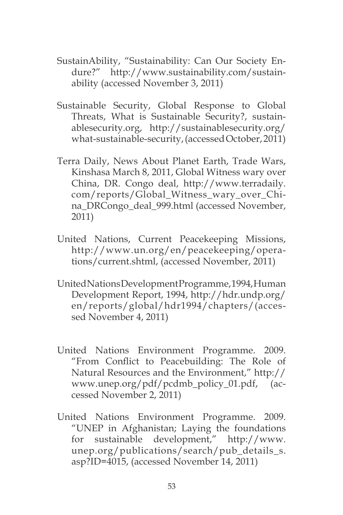- SustainAbility, "Sustainability: Can Our Society Endure?" http://www.sustainability.com/sustainability (accessed November 3, 2011)
- Sustainable Security, Global Response to Global Threats, What is Sustainable Security?, sustainablesecurity.org, http://sustainablesecurity.org/ what-sustainable-security, (accessed October, 2011)
- Terra Daily, News About Planet Earth, Trade Wars, Kinshasa March 8, 2011, Global Witness wary over China, DR. Congo deal, http://www.terradaily. com/reports/Global\_Witness\_wary\_over\_China\_DRCongo\_deal\_999.html (accessed November, 2011)
- United Nations, Current Peacekeeping Missions, http://www.un.org/en/peacekeeping/operations/current.shtml, (accessed November, 2011)
- United Nations Development Programme, 1994, Human Development Report, 1994, http://hdr.undp.org/ en/reports/global/hdr1994/chapters/(accessed November 4, 2011)
- United Nations Environment Programme. 2009. "From Conflict to Peacebuilding: The Role of Natural Resources and the Environment," http:// www.unep.org/pdf/pcdmb\_policy\_01.pdf, (accessed November 2, 2011)
- United Nations Environment Programme. 2009. "UNEP in Afghanistan; Laying the foundations for sustainable development," http://www. unep.org/publications/search/pub\_details\_s. asp?ID=4015, (accessed November 14, 2011)